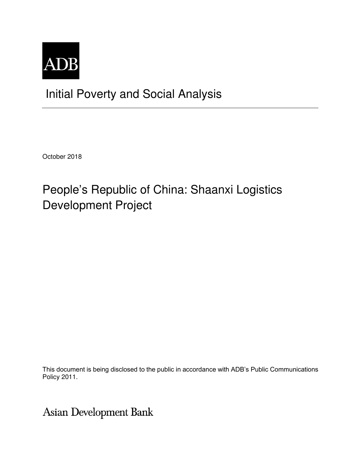

## Initial Poverty and Social Analysis

October 2018

# People's Republic of China: Shaanxi Logistics Development Project

This document is being disclosed to the public in accordance with ADB's Public Communications Policy 2011.

Asian Development Bank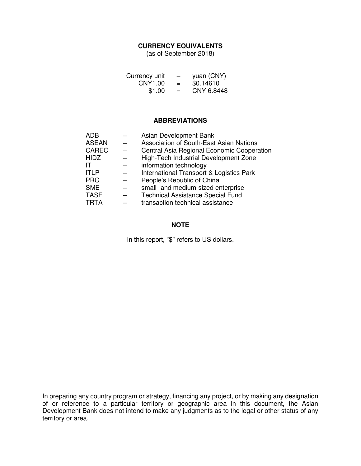#### **CURRENCY EQUIVALENTS**

(as of September 2018)

| Currency unit | $\overline{\phantom{m}}$ | yuan (CNY) |
|---------------|--------------------------|------------|
| CNY1.00       | $=$                      | \$0.14610  |
| \$1.00        | $=$                      | CNY 6.8448 |

#### **ABBREVIATIONS**

| <b>ADB</b>   | Asian Development Bank                     |
|--------------|--------------------------------------------|
| <b>ASEAN</b> | Association of South-East Asian Nations    |
| <b>CAREC</b> | Central Asia Regional Economic Cooperation |
| <b>HIDZ</b>  | High-Tech Industrial Development Zone      |
| IΤ           | information technology                     |
| <b>ITLP</b>  | International Transport & Logistics Park   |
| <b>PRC</b>   | People's Republic of China                 |
| <b>SME</b>   | small- and medium-sized enterprise         |
| <b>TASF</b>  | <b>Technical Assistance Special Fund</b>   |
| <b>TRTA</b>  | transaction technical assistance           |

#### **NOTE**

In this report, "\$" refers to US dollars.

In preparing any country program or strategy, financing any project, or by making any designation of or reference to a particular territory or geographic area in this document, the Asian Development Bank does not intend to make any judgments as to the legal or other status of any territory or area.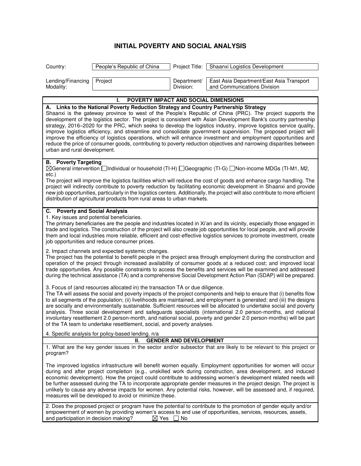### **INITIAL POVERTY AND SOCIAL ANALYSIS**

| Country:                                                                                                                                                                                                                                                                                                                                                                                                                                                                                                                                                                                                                                                                                                                                                                  | People's Republic of China                                                                  |                          | Project Title:   Shaanxi Logistics Development                                                                                                                                                                                                                                                                                                                                                                                                                                                                                                                                                                                                                                                                |  |
|---------------------------------------------------------------------------------------------------------------------------------------------------------------------------------------------------------------------------------------------------------------------------------------------------------------------------------------------------------------------------------------------------------------------------------------------------------------------------------------------------------------------------------------------------------------------------------------------------------------------------------------------------------------------------------------------------------------------------------------------------------------------------|---------------------------------------------------------------------------------------------|--------------------------|---------------------------------------------------------------------------------------------------------------------------------------------------------------------------------------------------------------------------------------------------------------------------------------------------------------------------------------------------------------------------------------------------------------------------------------------------------------------------------------------------------------------------------------------------------------------------------------------------------------------------------------------------------------------------------------------------------------|--|
| Lending/Financing<br>Modality:                                                                                                                                                                                                                                                                                                                                                                                                                                                                                                                                                                                                                                                                                                                                            | Project                                                                                     | Department/<br>Division: | East Asia Department/East Asia Transport<br>and Communications Division                                                                                                                                                                                                                                                                                                                                                                                                                                                                                                                                                                                                                                       |  |
|                                                                                                                                                                                                                                                                                                                                                                                                                                                                                                                                                                                                                                                                                                                                                                           | POVERTY IMPACT AND SOCIAL DIMENSIONS                                                        |                          |                                                                                                                                                                                                                                                                                                                                                                                                                                                                                                                                                                                                                                                                                                               |  |
| urban and rural development.                                                                                                                                                                                                                                                                                                                                                                                                                                                                                                                                                                                                                                                                                                                                              | A. Links to the National Poverty Reduction Strategy and Country Partnership Strategy        |                          | Shaanxi is the gateway province to west of the People's Republic of China (PRC). The project supports the<br>development of the logistics sector. The project is consistent with Asian Development Bank's country partnership<br>strategy, 2016-2020 for the PRC, which seeks to develop the logistics industry, improve logistics service quality,<br>improve logistics efficiency, and streamline and consolidate government supervision. The proposed project will<br>improve the efficiency of logistics operations, which will enhance investment and employment opportunities and<br>reduce the price of consumer goods, contributing to poverty reduction objectives and narrowing disparities between |  |
| <b>B.</b> Poverty Targeting<br>⊠General intervention Individual or household (TI-H) IGeographic (TI-G) INon-income MDGs (TI-M1, M2,<br>$etc.$ )<br>The project will improve the logistics facilities which will reduce the cost of goods and enhance cargo handling. The<br>project will indirectly contribute to poverty reduction by facilitating economic development in Shaanxi and provide<br>new job opportunities, particularly in the logistics centers. Additionally, the project will also contribute to more efficient<br>distribution of agricultural products from rural areas to urban markets.                                                                                                                                                             |                                                                                             |                          |                                                                                                                                                                                                                                                                                                                                                                                                                                                                                                                                                                                                                                                                                                               |  |
| C. Poverty and Social Analysis                                                                                                                                                                                                                                                                                                                                                                                                                                                                                                                                                                                                                                                                                                                                            | 1. Key issues and potential beneficiaries.<br>job opportunities and reduce consumer prices. |                          | The primary beneficiaries are the people and industries located in Xi'an and its vicinity, especially those engaged in<br>trade and logistics. The construction of the project will also create job opportunities for local people, and will provide<br>them and local industries more reliable, efficient and cost-effective logistics services to promote investment, create                                                                                                                                                                                                                                                                                                                                |  |
|                                                                                                                                                                                                                                                                                                                                                                                                                                                                                                                                                                                                                                                                                                                                                                           | 2. Impact channels and expected systemic changes.                                           |                          | The project has the potential to benefit people in the project area through employment during the construction and<br>operation of the project through increased availability of consumer goods at a reduced cost; and improved local<br>trade opportunities. Any possible constraints to access the benefits and services will be examined and addressed<br>during the technical assistance (TA) and a comprehensive Social Development Action Plan (SDAP) will be prepared.                                                                                                                                                                                                                                 |  |
| 3. Focus of (and resources allocated in) the transaction TA or due diligence.<br>The TA will assess the social and poverty impacts of the project components and help to ensure that (i) benefits flow<br>to all segments of the population; (ii) livelihoods are maintained, and employment is generated; and (iii) the designs<br>are socially and environmentally sustainable. Sufficient resources will be allocated to undertake social and poverty<br>analysis. Three social development and safeguards specialists (international 2.0 person-months, and national<br>involuntary resettlement 2.0 person-month, and national social, poverty and gender 2.0 person-months) will be part<br>of the TA team to undertake resettlement, social, and poverty analyses. |                                                                                             |                          |                                                                                                                                                                                                                                                                                                                                                                                                                                                                                                                                                                                                                                                                                                               |  |
| 4. Specific analysis for policy-based lending. n/a<br><b>GENDER AND DEVELOPMENT</b><br>Ш.                                                                                                                                                                                                                                                                                                                                                                                                                                                                                                                                                                                                                                                                                 |                                                                                             |                          |                                                                                                                                                                                                                                                                                                                                                                                                                                                                                                                                                                                                                                                                                                               |  |
| program?                                                                                                                                                                                                                                                                                                                                                                                                                                                                                                                                                                                                                                                                                                                                                                  |                                                                                             |                          | 1. What are the key gender issues in the sector and/or subsector that are likely to be relevant to this project or                                                                                                                                                                                                                                                                                                                                                                                                                                                                                                                                                                                            |  |
|                                                                                                                                                                                                                                                                                                                                                                                                                                                                                                                                                                                                                                                                                                                                                                           | measures will be developed to avoid or minimize these.                                      |                          | The improved logistics infrastructure will benefit women equally. Employment opportunities for women will occur<br>during and after project completion (e.g., unskilled work during construction, area development, and induced<br>economic development). How the project could contribute to addressing women's development related needs will<br>be further assessed during the TA to incorporate appropriate gender measures in the project design. The project is<br>unlikely to cause any adverse impacts for women. Any potential risks, however, will be assessed and, if required,                                                                                                                    |  |
| and participation in decision making?                                                                                                                                                                                                                                                                                                                                                                                                                                                                                                                                                                                                                                                                                                                                     | $\boxtimes$ Yes                                                                             | No                       | 2. Does the proposed project or program have the potential to contribute to the promotion of gender equity and/or<br>empowerment of women by providing women's access to and use of opportunities, services, resources, assets,                                                                                                                                                                                                                                                                                                                                                                                                                                                                               |  |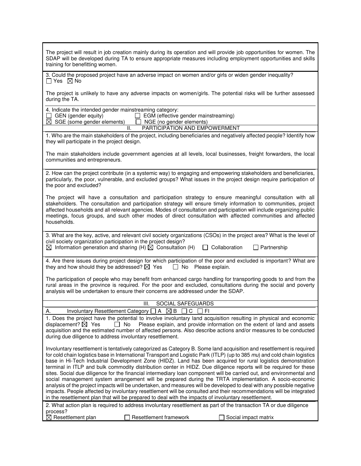| The project will result in job creation mainly during its operation and will provide job opportunities for women. The<br>SDAP will be developed during TA to ensure appropriate measures including employment opportunities and skills<br>training for benefitting women.                                                                                                                                                                                                                                                                                                                                                                                                                                                                                                                                                                                                                                                                                                                                                                                                         |
|-----------------------------------------------------------------------------------------------------------------------------------------------------------------------------------------------------------------------------------------------------------------------------------------------------------------------------------------------------------------------------------------------------------------------------------------------------------------------------------------------------------------------------------------------------------------------------------------------------------------------------------------------------------------------------------------------------------------------------------------------------------------------------------------------------------------------------------------------------------------------------------------------------------------------------------------------------------------------------------------------------------------------------------------------------------------------------------|
| 3. Could the proposed project have an adverse impact on women and/or girls or widen gender inequality?<br>$\Box$ Yes $\boxtimes$ No                                                                                                                                                                                                                                                                                                                                                                                                                                                                                                                                                                                                                                                                                                                                                                                                                                                                                                                                               |
| The project is unlikely to have any adverse impacts on women/girls. The potential risks will be further assessed<br>during the TA.                                                                                                                                                                                                                                                                                                                                                                                                                                                                                                                                                                                                                                                                                                                                                                                                                                                                                                                                                |
| 4. Indicate the intended gender mainstreaming category:<br>GEN (gender equity)<br>$\Box$ EGM (effective gender mainstreaming)<br>$\overline{\boxtimes}$ SGE (some gender elements)<br>$\Box$ NGE (no gender elements)<br>II.<br>PARTICIPATION AND EMPOWERMENT                                                                                                                                                                                                                                                                                                                                                                                                                                                                                                                                                                                                                                                                                                                                                                                                                     |
| 1. Who are the main stakeholders of the project, including beneficiaries and negatively affected people? Identify how<br>they will participate in the project design.                                                                                                                                                                                                                                                                                                                                                                                                                                                                                                                                                                                                                                                                                                                                                                                                                                                                                                             |
| The main stakeholders include government agencies at all levels, local businesses, freight forwarders, the local<br>communities and entrepreneurs.                                                                                                                                                                                                                                                                                                                                                                                                                                                                                                                                                                                                                                                                                                                                                                                                                                                                                                                                |
| 2. How can the project contribute (in a systemic way) to engaging and empowering stakeholders and beneficiaries,<br>particularly, the poor, vulnerable, and excluded groups? What issues in the project design require participation of<br>the poor and excluded?                                                                                                                                                                                                                                                                                                                                                                                                                                                                                                                                                                                                                                                                                                                                                                                                                 |
| The project will have a consultation and participation strategy to ensure meaningful consultation with all<br>stakeholders. The consultation and participation strategy will ensure timely information to communities, project<br>affected households and all relevant agencies. Modes of consultation and participation will include organizing public<br>meetings, focus groups, and such other modes of direct consultation with affected communities and affected<br>households.                                                                                                                                                                                                                                                                                                                                                                                                                                                                                                                                                                                              |
| 3. What are the key, active, and relevant civil society organizations (CSOs) in the project area? What is the level of<br>civil society organization participation in the project design?<br>$\boxtimes$ Information generation and sharing (H) $\boxtimes$ Consultation (H)<br>Collaboration<br>$\Box$ Partnership                                                                                                                                                                                                                                                                                                                                                                                                                                                                                                                                                                                                                                                                                                                                                               |
| 4. Are there issues during project design for which participation of the poor and excluded is important? What are<br>they and how should they be addressed? $\boxtimes$ Yes<br>$\Box$ No Please explain.                                                                                                                                                                                                                                                                                                                                                                                                                                                                                                                                                                                                                                                                                                                                                                                                                                                                          |
| The participation of people who may benefit from enhanced cargo handling for transporting goods to and from the<br>rural areas in the province is required. For the poor and excluded, consultations during the social and poverty<br>analysis will be undertaken to ensure their concerns are addressed under the SDAP.                                                                                                                                                                                                                                                                                                                                                                                                                                                                                                                                                                                                                                                                                                                                                          |
| Ш.<br><b>SOCIAL SAFEGUARDS</b>                                                                                                                                                                                                                                                                                                                                                                                                                                                                                                                                                                                                                                                                                                                                                                                                                                                                                                                                                                                                                                                    |
| Involuntary Resettlement Category $\Box A \boxtimes B$<br>C<br>FI<br>А.                                                                                                                                                                                                                                                                                                                                                                                                                                                                                                                                                                                                                                                                                                                                                                                                                                                                                                                                                                                                           |
| 1. Does the project have the potential to involve involuntary land acquisition resulting in physical and economic<br>displacement? $\boxtimes$ Yes<br>Please explain, and provide information on the extent of land and assets<br>$\Box$ No<br>acquisition and the estimated number of affected persons. Also describe actions and/or measures to be conducted<br>during due diligence to address involuntary resettlement.                                                                                                                                                                                                                                                                                                                                                                                                                                                                                                                                                                                                                                                       |
| Involuntary resettlement is tentatively categorized as Category B. Some land acquisition and resettlement is required<br>for cold chain logistics base in International Transport and Logistic Park (ITLP) (up to 385 mu) and cold chain logistics<br>base in Hi-Tech Industrial Development Zone (HIDZ). Land has been acquired for rural logistics demonstration<br>terminal in ITLP and bulk commodity distribution center in HIDZ. Due diligence reports will be required for these<br>sites. Social due diligence for the financial intermediary loan component will be carried out, and environmental and<br>social management system arrangement will be prepared during the TRTA implementation. A socio-economic<br>analysis of the project impacts will be undertaken, and measures will be developed to deal with any possible negative<br>impacts. People affected by involuntary resettlement will be consulted and their recommendations will be integrated<br>in the resettlement plan that will be prepared to deal with the impacts of involuntary resettlement. |
| 2. What action plan is required to address involuntary resettlement as part of the transaction TA or due diligence<br>process?                                                                                                                                                                                                                                                                                                                                                                                                                                                                                                                                                                                                                                                                                                                                                                                                                                                                                                                                                    |
| Resettlement plan<br>Resettlement framework<br>Social impact matrix<br>⊠                                                                                                                                                                                                                                                                                                                                                                                                                                                                                                                                                                                                                                                                                                                                                                                                                                                                                                                                                                                                          |